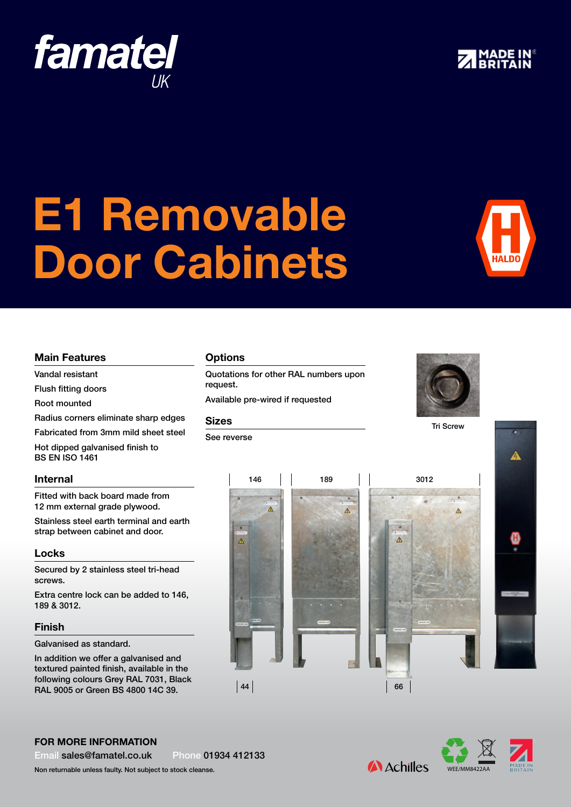### For more information

Email sales@famatel.co.uk Phone 01934 412133

Non returnable unless faulty. Not subject to stock cleanse.

 $|44\rangle$ 

 $\triangle$ 

WEE/MM8422AA

## **A** Achilles

66

 $\overline{\mathbf{A}}$ 

# 146 189 3012

**Options** 

Quotations for other RAL numbers upon request.

Available pre-wired if requested

 $\lambda$ 

### Sizes

See reverse









Ä

i.









Main Features Vandal resistant Flush fitting doors Root mounted

BS EN ISO 1461

Internal

Locks

screws.

Finish

189 & 3012.

Galvanised as standard.

Radius corners eliminate sharp edges Fabricated from 3mm mild sheet steel

Hot dipped galvanised finish to

Fitted with back board made from 12 mm external grade plywood.

Stainless steel earth terminal and earth strap between cabinet and door.

Secured by 2 stainless steel tri-head

Extra centre lock can be added to 146,

In addition we offer a galvanised and textured painted finish, available in the following colours Grey RAL 7031, Black RAL 9005 or Green BS 4800 14C 39.